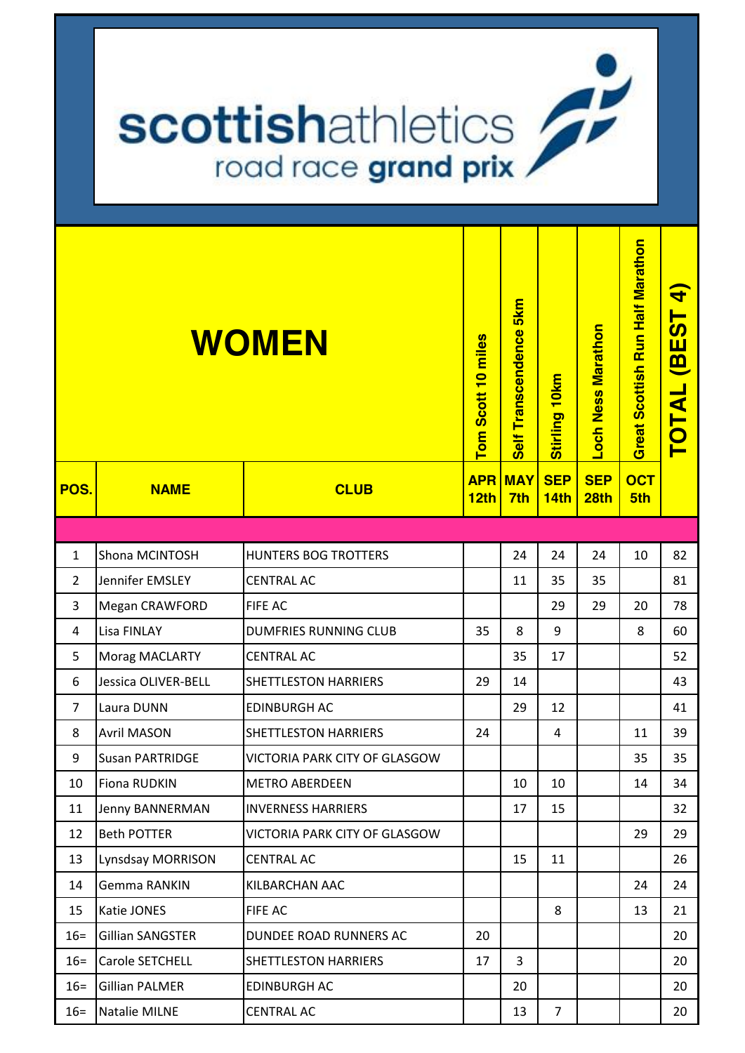## **scottishathletics**

| WOMEN          |                         |                               | Tom Scott 10 miles             | Self Transcendence 5km | Stirling 10km             | Loch Ness Marathon | Great Scottish Run Half Marathon | Þ<br><b>BEST</b><br>TOTAL |
|----------------|-------------------------|-------------------------------|--------------------------------|------------------------|---------------------------|--------------------|----------------------------------|---------------------------|
| POS.           | <b>NAME</b>             | <b>CLUB</b>                   | <b>APR</b><br>12 <sub>th</sub> | <b>MAY</b><br>7th      | <b>SEP</b><br><b>14th</b> | <b>SEP</b><br>28th | <b>OCT</b><br>5th                |                           |
|                |                         |                               |                                |                        |                           |                    |                                  |                           |
| $\mathbf{1}$   | Shona MCINTOSH          | <b>HUNTERS BOG TROTTERS</b>   |                                | 24                     | 24                        | 24                 | 10                               | 82                        |
| $\overline{2}$ | Jennifer EMSLEY         | <b>CENTRAL AC</b>             |                                | 11                     | 35                        | 35                 |                                  | 81                        |
| 3              | Megan CRAWFORD          | FIFE AC                       |                                |                        | 29                        | 29                 | 20                               | 78                        |
| 4              | Lisa FINLAY             | <b>DUMFRIES RUNNING CLUB</b>  | 35                             | 8                      | 9                         |                    | 8                                | 60                        |
| 5              | Morag MACLARTY          | <b>CENTRAL AC</b>             |                                | 35                     | 17                        |                    |                                  | 52                        |
| 6              | Jessica OLIVER-BELL     | <b>SHETTLESTON HARRIERS</b>   | 29                             | 14                     |                           |                    |                                  | 43                        |
| $\overline{7}$ | Laura DUNN              | <b>EDINBURGH AC</b>           |                                | 29                     | 12                        |                    |                                  | 41                        |
| 8              | <b>Avril MASON</b>      | <b>SHETTLESTON HARRIERS</b>   | 24                             |                        | 4                         |                    | 11                               | 39                        |
| 9              | <b>Susan PARTRIDGE</b>  | VICTORIA PARK CITY OF GLASGOW |                                |                        |                           |                    | 35                               | 35                        |
| 10             | <b>Fiona RUDKIN</b>     | <b>METRO ABERDEEN</b>         |                                | 10                     | 10                        |                    | 14                               | 34                        |
| 11             | Jenny BANNERMAN         | <b>INVERNESS HARRIERS</b>     |                                | 17                     | 15                        |                    |                                  | 32                        |
| 12             | <b>Beth POTTER</b>      | VICTORIA PARK CITY OF GLASGOW |                                |                        |                           |                    | 29                               | 29                        |
| 13             | Lynsdsay MORRISON       | <b>CENTRAL AC</b>             |                                | 15                     | 11                        |                    |                                  | 26                        |
| 14             | <b>Gemma RANKIN</b>     | KILBARCHAN AAC                |                                |                        |                           |                    | 24                               | 24                        |
| 15             | Katie JONES             | FIFE AC                       |                                |                        | 8                         |                    | 13                               | 21                        |
| $16=$          | <b>Gillian SANGSTER</b> | DUNDEE ROAD RUNNERS AC        | 20                             |                        |                           |                    |                                  | 20                        |
| $16 =$         | Carole SETCHELL         | <b>SHETTLESTON HARRIERS</b>   | 17                             | 3                      |                           |                    |                                  | 20                        |
| $16 =$         | <b>Gillian PALMER</b>   | <b>EDINBURGH AC</b>           |                                | 20                     |                           |                    |                                  | 20                        |
| $16=$          | Natalie MILNE           | <b>CENTRAL AC</b>             |                                | 13                     | $\overline{7}$            |                    |                                  | 20                        |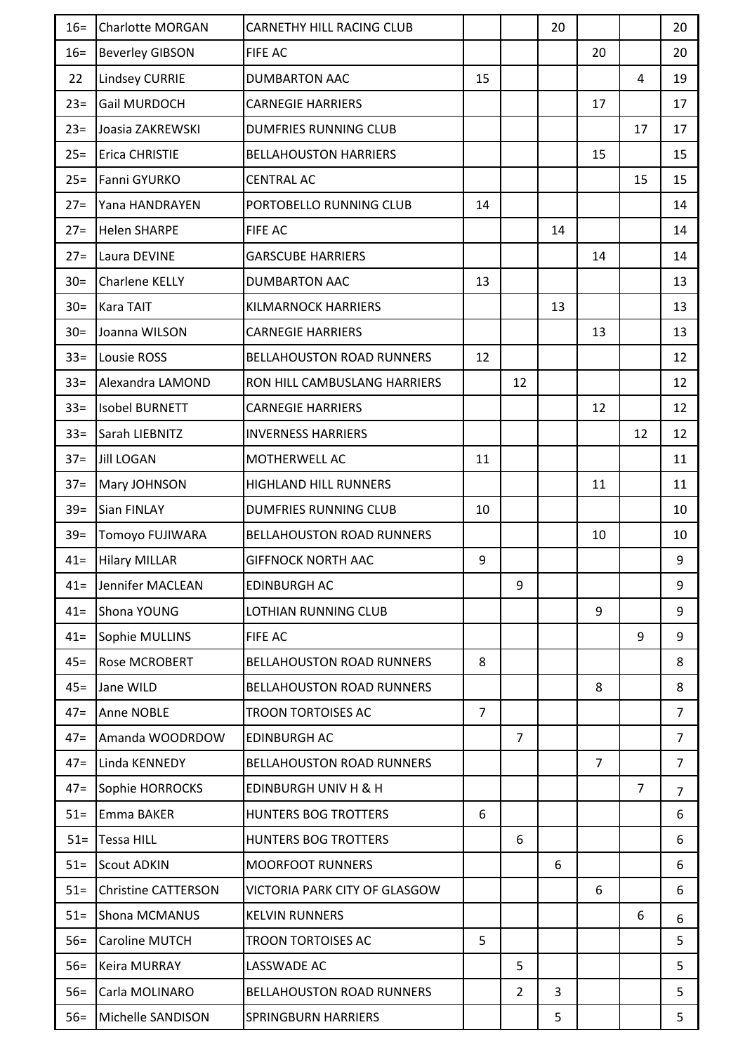| $16=$  | <b>Charlotte MORGAN</b>    | <b>CARNETHY HILL RACING CLUB</b> |                |                | 20 |                |                | 20             |
|--------|----------------------------|----------------------------------|----------------|----------------|----|----------------|----------------|----------------|
| $16=$  | <b>Beverley GIBSON</b>     | <b>FIFE AC</b>                   |                |                |    | 20             |                | 20             |
| 22     | <b>Lindsey CURRIE</b>      | <b>DUMBARTON AAC</b>             | 15             |                |    |                | 4              | 19             |
| $23=$  | Gail MURDOCH               | <b>CARNEGIE HARRIERS</b>         |                |                |    | 17             |                | 17             |
| $23=$  | Joasia ZAKREWSKI           | <b>DUMFRIES RUNNING CLUB</b>     |                |                |    |                | 17             | 17             |
| $25 =$ | Erica CHRISTIE             | <b>BELLAHOUSTON HARRIERS</b>     |                |                |    | 15             |                | 15             |
| $25 =$ | Fanni GYURKO               | <b>CENTRAL AC</b>                |                |                |    |                | 15             | 15             |
| $27 =$ | Yana HANDRAYEN             | PORTOBELLO RUNNING CLUB          | 14             |                |    |                |                | 14             |
| $27 =$ | <b>Helen SHARPE</b>        | <b>FIFE AC</b>                   |                |                | 14 |                |                | 14             |
| $27 =$ | Laura DEVINE               | <b>GARSCUBE HARRIERS</b>         |                |                |    | 14             |                | 14             |
| $30=$  | Charlene KELLY             | <b>DUMBARTON AAC</b>             | 13             |                |    |                |                | 13             |
| $30=$  | <b>Kara TAIT</b>           | <b>KILMARNOCK HARRIERS</b>       |                |                | 13 |                |                | 13             |
| $30=$  | Joanna WILSON              | <b>CARNEGIE HARRIERS</b>         |                |                |    | 13             |                | 13             |
| $33 =$ | Lousie ROSS                | <b>BELLAHOUSTON ROAD RUNNERS</b> | 12             |                |    |                |                | 12             |
| $33 =$ | Alexandra LAMOND           | RON HILL CAMBUSLANG HARRIERS     |                | 12             |    |                |                | 12             |
| $33 =$ | <b>Isobel BURNETT</b>      | <b>CARNEGIE HARRIERS</b>         |                |                |    | 12             |                | 12             |
| $33 =$ | Sarah LIEBNITZ             | <b>INVERNESS HARRIERS</b>        |                |                |    |                | 12             | 12             |
| $37 =$ | <b>Jill LOGAN</b>          | MOTHERWELL AC                    | 11             |                |    |                |                | 11             |
| $37 =$ | Mary JOHNSON               | <b>HIGHLAND HILL RUNNERS</b>     |                |                |    | 11             |                | 11             |
| $39=$  | <b>Sian FINLAY</b>         | <b>DUMFRIES RUNNING CLUB</b>     | 10             |                |    |                |                | 10             |
| $39=$  | Tomoyo FUJIWARA            | <b>BELLAHOUSTON ROAD RUNNERS</b> |                |                |    | 10             |                | 10             |
| $41 =$ | <b>Hilary MILLAR</b>       | <b>GIFFNOCK NORTH AAC</b>        | 9              |                |    |                |                | 9              |
| $41 =$ | Jennifer MACLEAN           | <b>EDINBURGH AC</b>              |                | 9              |    |                |                | 9              |
| $41 =$ | Shona YOUNG                | LOTHIAN RUNNING CLUB             |                |                |    | 9              |                | 9              |
| $41 =$ | Sophie MULLINS             | <b>FIFE AC</b>                   |                |                |    |                | 9              | 9              |
| $45 =$ | Rose MCROBERT              | <b>BELLAHOUSTON ROAD RUNNERS</b> | 8              |                |    |                |                | 8              |
| $45 =$ | Jane WILD                  | <b>BELLAHOUSTON ROAD RUNNERS</b> |                |                |    | 8              |                | 8              |
| $47=$  | <b>Anne NOBLE</b>          | <b>TROON TORTOISES AC</b>        | $\overline{7}$ |                |    |                |                | $\overline{7}$ |
| $47 =$ | Amanda WOODRDOW            | <b>EDINBURGH AC</b>              |                | $\overline{7}$ |    |                |                | $\overline{7}$ |
| $47 =$ | Linda KENNEDY              | <b>BELLAHOUSTON ROAD RUNNERS</b> |                |                |    | $\overline{7}$ |                | $\overline{7}$ |
| $47=$  | Sophie HORROCKS            | <b>EDINBURGH UNIV H &amp; H</b>  |                |                |    |                | $\overline{7}$ | $\overline{7}$ |
| $51 =$ | Emma BAKER                 | <b>HUNTERS BOG TROTTERS</b>      | 6              |                |    |                |                | 6              |
| $51 =$ | <b>Tessa HILL</b>          | <b>HUNTERS BOG TROTTERS</b>      |                | 6              |    |                |                | 6              |
| $51 =$ | <b>Scout ADKIN</b>         | <b>MOORFOOT RUNNERS</b>          |                |                | 6  |                |                | 6              |
| $51 =$ | <b>Christine CATTERSON</b> | VICTORIA PARK CITY OF GLASGOW    |                |                |    | 6              |                | 6              |
| $51 =$ | <b>Shona MCMANUS</b>       | <b>KELVIN RUNNERS</b>            |                |                |    |                | 6              | 6              |
| $56=$  | <b>Caroline MUTCH</b>      | <b>TROON TORTOISES AC</b>        | 5              |                |    |                |                | 5              |
| $56=$  | <b>Keira MURRAY</b>        | LASSWADE AC                      |                | 5              |    |                |                | 5              |
| $56=$  | Carla MOLINARO             | <b>BELLAHOUSTON ROAD RUNNERS</b> |                | $\overline{2}$ | 3  |                |                | 5              |
| $56=$  | Michelle SANDISON          | <b>SPRINGBURN HARRIERS</b>       |                |                | 5  |                |                | 5              |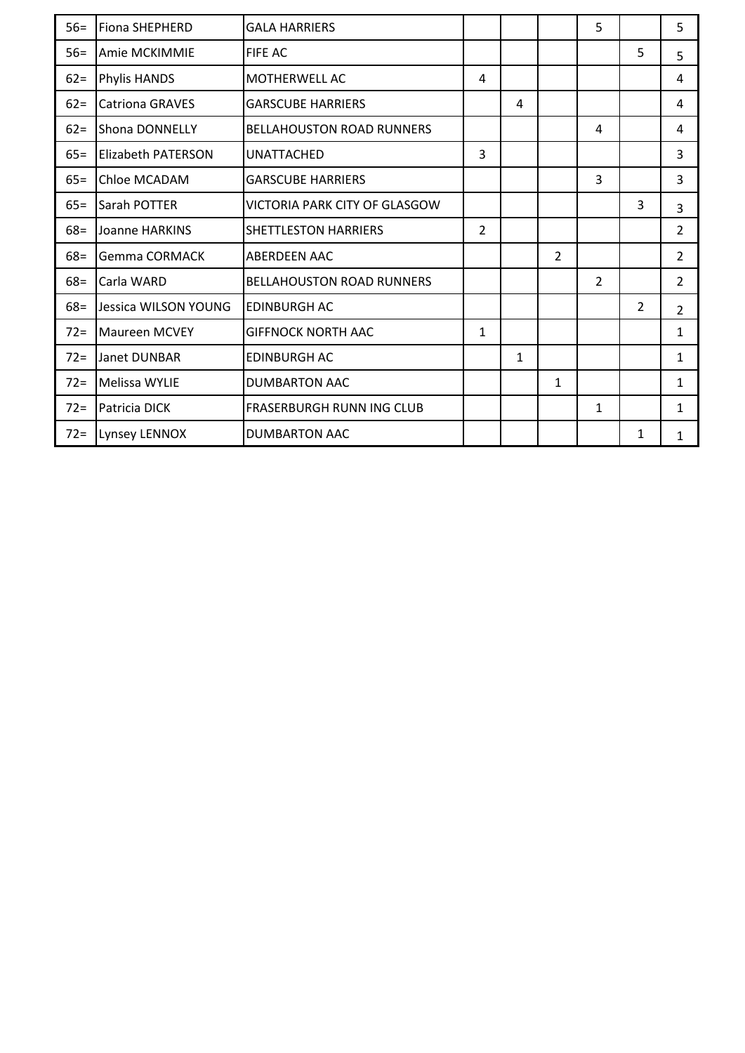| $56=$  | <b>Fiona SHEPHERD</b>     | <b>GALA HARRIERS</b>             |                |              |                | 5              |                | 5              |
|--------|---------------------------|----------------------------------|----------------|--------------|----------------|----------------|----------------|----------------|
| $56=$  | Amie MCKIMMIE             | <b>FIFE AC</b>                   |                |              |                |                | 5              | 5              |
| $62 =$ | <b>Phylis HANDS</b>       | <b>MOTHERWELL AC</b>             | 4              |              |                |                |                | 4              |
| $62 =$ | <b>Catriona GRAVES</b>    | <b>GARSCUBE HARRIERS</b>         |                | 4            |                |                |                | 4              |
| $62 =$ | <b>Shona DONNELLY</b>     | <b>BELLAHOUSTON ROAD RUNNERS</b> |                |              |                | 4              |                | 4              |
| $65 =$ | <b>Elizabeth PATERSON</b> | <b>UNATTACHED</b>                | 3              |              |                |                |                | 3              |
| $65 =$ | Chloe MCADAM              | <b>GARSCUBE HARRIERS</b>         |                |              |                | 3              |                | $\overline{3}$ |
| $65 =$ | <b>Sarah POTTER</b>       | VICTORIA PARK CITY OF GLASGOW    |                |              |                |                | 3              | 3              |
| $68 =$ | Joanne HARKINS            | <b>SHETTLESTON HARRIERS</b>      | $\overline{2}$ |              |                |                |                | $\overline{2}$ |
| $68 =$ | Gemma CORMACK             | <b>ABERDEEN AAC</b>              |                |              | $\overline{2}$ |                |                | $\overline{2}$ |
| $68 =$ | Carla WARD                | <b>BELLAHOUSTON ROAD RUNNERS</b> |                |              |                | $\overline{2}$ |                | $\overline{2}$ |
| $68 =$ | Jessica WILSON YOUNG      | <b>EDINBURGH AC</b>              |                |              |                |                | $\overline{2}$ | $\overline{2}$ |
| $72=$  | <b>Maureen MCVEY</b>      | <b>GIFFNOCK NORTH AAC</b>        | $\mathbf{1}$   |              |                |                |                | 1              |
| $72 =$ | Janet DUNBAR              | <b>EDINBURGH AC</b>              |                | $\mathbf{1}$ |                |                |                | $\mathbf{1}$   |
| $72 =$ | <b>Melissa WYLIE</b>      | <b>DUMBARTON AAC</b>             |                |              | 1              |                |                | 1              |
| $72=$  | Patricia DICK             | <b>FRASERBURGH RUNN ING CLUB</b> |                |              |                | $\mathbf{1}$   |                | 1              |
| $72 =$ | Lynsey LENNOX             | <b>DUMBARTON AAC</b>             |                |              |                |                | 1              | 1              |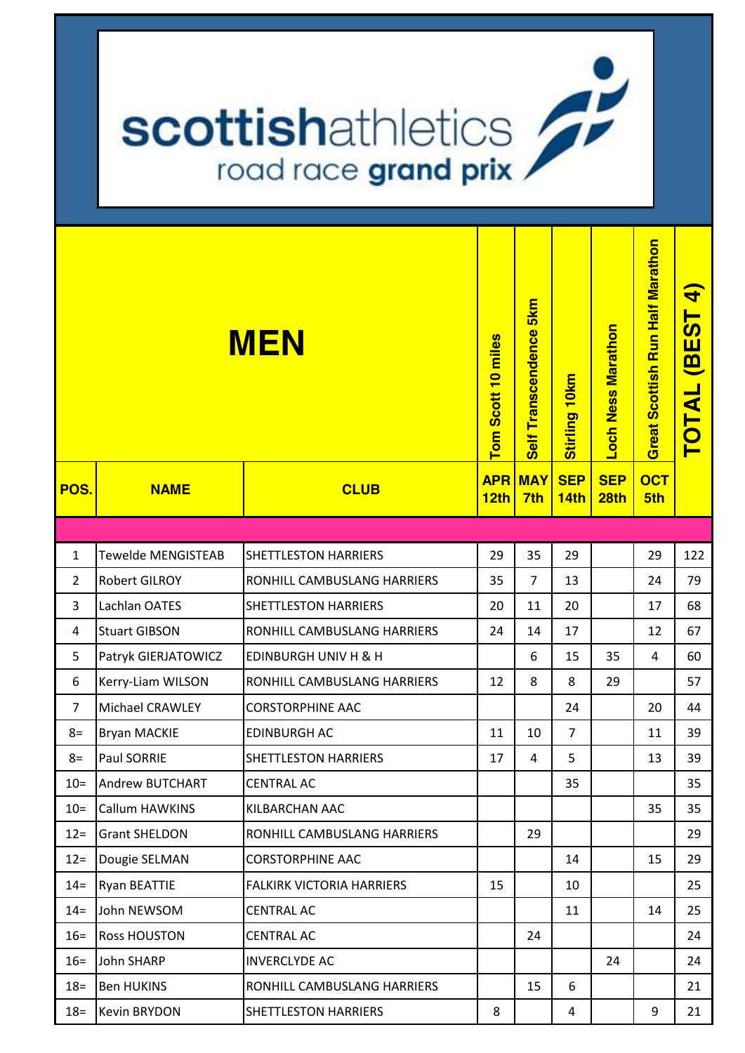## scottishathletics road race grand prix

|                |                      | <b>MEN</b>                       | Tom Scott 10 miles<br><b>APR</b> | 5 <sub>km</sub><br>Self Transcendence<br><b>MAY</b> | Stirling 10km<br><b>SEP</b> | Loch Ness Marathon<br><b>SEP</b> | Great Scottish Run Half Marathon<br><b>OCT</b> | $\blacktriangleleft$<br><b>BEST</b><br>TOTAL |
|----------------|----------------------|----------------------------------|----------------------------------|-----------------------------------------------------|-----------------------------|----------------------------------|------------------------------------------------|----------------------------------------------|
| POS.           | <b>NAME</b>          | <b>CLUB</b>                      | 12th                             | 7th                                                 | 14th                        | 28 <sub>th</sub>                 | 5th                                            |                                              |
|                |                      |                                  |                                  |                                                     |                             |                                  |                                                |                                              |
| $\mathbf{1}$   | Tewelde MENGISTEAB   | <b>SHETTLESTON HARRIERS</b>      | 29                               | 35                                                  | 29                          |                                  | 29                                             | 122                                          |
| $\overline{2}$ | <b>Robert GILROY</b> | RONHILL CAMBUSLANG HARRIERS      | 35                               | $\overline{7}$                                      | 13                          |                                  | 24                                             | 79                                           |
| 3              | Lachlan OATES        | <b>SHETTLESTON HARRIERS</b>      | 20                               | 11                                                  | 20                          |                                  | 17                                             | 68                                           |
| 4              | <b>Stuart GIBSON</b> | RONHILL CAMBUSLANG HARRIERS      | 24                               | 14                                                  | 17                          |                                  | 12                                             | 67                                           |
| 5              | Patryk GIERJATOWICZ  | <b>EDINBURGH UNIV H &amp; H</b>  |                                  | 6                                                   | 15                          | 35                               | 4                                              | 60                                           |
| 6              | Kerry-Liam WILSON    | RONHILL CAMBUSLANG HARRIERS      | 12                               | 8                                                   | 8                           | 29                               |                                                | 57                                           |
| $\overline{7}$ | Michael CRAWLEY      | <b>CORSTORPHINE AAC</b>          |                                  |                                                     | 24                          |                                  | 20                                             | 44                                           |
| $8=$           | <b>Bryan MACKIE</b>  | <b>EDINBURGH AC</b>              | 11                               | 10                                                  | $\overline{7}$              |                                  | 11                                             | 39                                           |
| $8=$           | Paul SORRIE          | <b>SHETTLESTON HARRIERS</b>      | 17                               | 4                                                   | 5                           |                                  | 13                                             | 39                                           |
| $10 =$         | Andrew BUTCHART      | <b>CENTRAL AC</b>                |                                  |                                                     | 35                          |                                  |                                                | 35                                           |
| $10=$          | Callum HAWKINS       | KILBARCHAN AAC                   |                                  |                                                     |                             |                                  | 35                                             | 35                                           |
| $12 =$         | <b>Grant SHELDON</b> | RONHILL CAMBUSLANG HARRIERS      |                                  | 29                                                  |                             |                                  |                                                | 29                                           |
| $12 =$         | Dougie SELMAN        | <b>CORSTORPHINE AAC</b>          |                                  |                                                     | 14                          |                                  | 15                                             | 29                                           |
| $14 =$         | <b>Ryan BEATTIE</b>  | <b>FALKIRK VICTORIA HARRIERS</b> | 15                               |                                                     | 10                          |                                  |                                                | 25                                           |
| $14 =$         | John NEWSOM          | <b>CENTRAL AC</b>                |                                  |                                                     | 11                          |                                  | 14                                             | 25                                           |
| $16=$          | <b>Ross HOUSTON</b>  | <b>CENTRAL AC</b>                |                                  | 24                                                  |                             |                                  |                                                | 24                                           |
| $16=$          | John SHARP           | <b>INVERCLYDE AC</b>             |                                  |                                                     |                             | 24                               |                                                | 24                                           |
| $18 =$         | <b>Ben HUKINS</b>    | RONHILL CAMBUSLANG HARRIERS      |                                  | 15                                                  | 6                           |                                  |                                                | 21                                           |
| $18 =$         | Kevin BRYDON         | SHETTLESTON HARRIERS             | 8                                |                                                     | 4                           |                                  | 9                                              | 21                                           |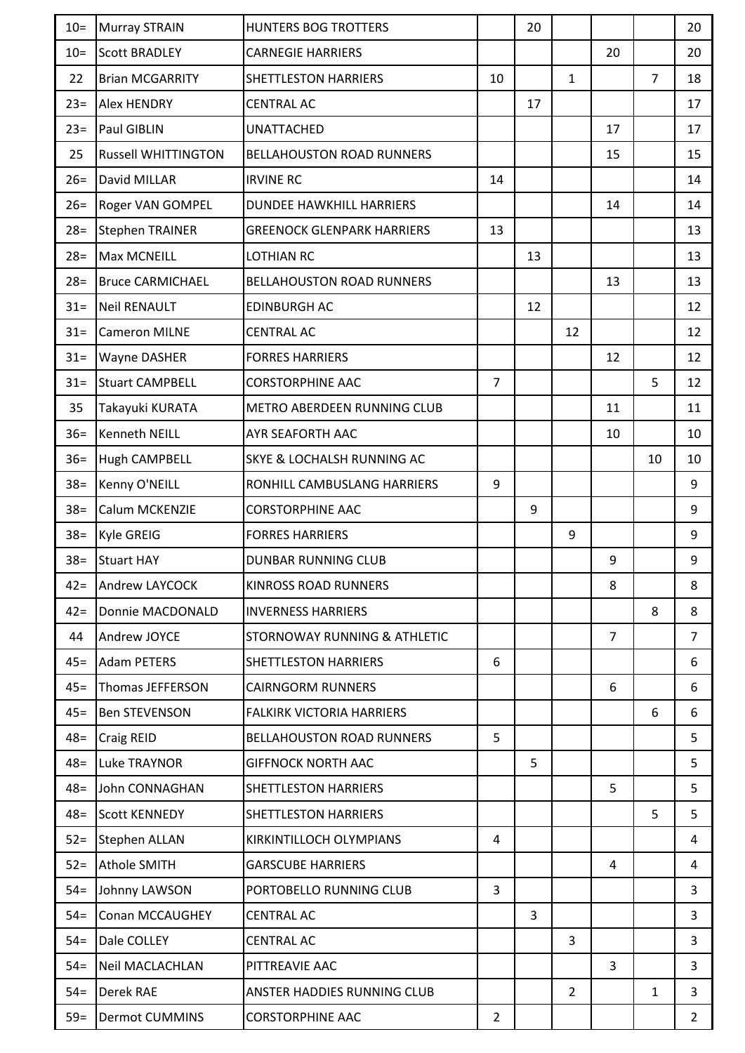| $10=$  | Murray STRAIN              | <b>HUNTERS BOG TROTTERS</b>           |                | 20 |                |                |                | 20             |
|--------|----------------------------|---------------------------------------|----------------|----|----------------|----------------|----------------|----------------|
| $10=$  | <b>Scott BRADLEY</b>       | <b>CARNEGIE HARRIERS</b>              |                |    |                | 20             |                | 20             |
| 22     | <b>Brian MCGARRITY</b>     | <b>SHETTLESTON HARRIERS</b>           | 10             |    | 1              |                | $\overline{7}$ | 18             |
| $23=$  | <b>Alex HENDRY</b>         | <b>CENTRAL AC</b>                     |                | 17 |                |                |                | 17             |
| $23=$  | Paul GIBLIN                | <b>UNATTACHED</b>                     |                |    |                | 17             |                | 17             |
| 25     | <b>Russell WHITTINGTON</b> | <b>BELLAHOUSTON ROAD RUNNERS</b>      |                |    |                | 15             |                | 15             |
| $26=$  | David MILLAR               | <b>IRVINE RC</b>                      | 14             |    |                |                |                | 14             |
| $26=$  | Roger VAN GOMPEL           | <b>DUNDEE HAWKHILL HARRIERS</b>       |                |    |                | 14             |                | 14             |
| $28 =$ | <b>Stephen TRAINER</b>     | <b>GREENOCK GLENPARK HARRIERS</b>     | 13             |    |                |                |                | 13             |
| $28=$  | <b>Max MCNEILL</b>         | <b>LOTHIAN RC</b>                     |                | 13 |                |                |                | 13             |
| $28=$  | <b>Bruce CARMICHAEL</b>    | <b>BELLAHOUSTON ROAD RUNNERS</b>      |                |    |                | 13             |                | 13             |
| $31 =$ | <b>Neil RENAULT</b>        | <b>EDINBURGH AC</b>                   |                | 12 |                |                |                | 12             |
| $31 =$ | <b>Cameron MILNE</b>       | <b>CENTRAL AC</b>                     |                |    | 12             |                |                | 12             |
| $31 =$ | Wayne DASHER               | <b>FORRES HARRIERS</b>                |                |    |                | 12             |                | 12             |
| $31 =$ | <b>Stuart CAMPBELL</b>     | <b>CORSTORPHINE AAC</b>               | $\overline{7}$ |    |                |                | 5              | 12             |
| 35     | Takayuki KURATA            | METRO ABERDEEN RUNNING CLUB           |                |    |                | 11             |                | 11             |
| $36=$  | Kenneth NEILL              | AYR SEAFORTH AAC                      |                |    |                | 10             |                | 10             |
| $36=$  | Hugh CAMPBELL              | <b>SKYE &amp; LOCHALSH RUNNING AC</b> |                |    |                |                | 10             | 10             |
| $38 =$ | Kenny O'NEILL              | RONHILL CAMBUSLANG HARRIERS           | 9              |    |                |                |                | 9              |
| $38 =$ | Calum MCKENZIE             | <b>CORSTORPHINE AAC</b>               |                | 9  |                |                |                | 9              |
| $38 =$ | Kyle GREIG                 | <b>FORRES HARRIERS</b>                |                |    | 9              |                |                | 9              |
| $38 =$ | <b>Stuart HAY</b>          | <b>DUNBAR RUNNING CLUB</b>            |                |    |                | 9              |                | 9              |
| $42 =$ | Andrew LAYCOCK             | <b>KINROSS ROAD RUNNERS</b>           |                |    |                | 8              |                | 8              |
| $42 =$ | Donnie MACDONALD           | <b>INVERNESS HARRIERS</b>             |                |    |                |                | 8              | 8              |
| 44     | Andrew JOYCE               | STORNOWAY RUNNING & ATHLETIC          |                |    |                | $\overline{7}$ |                | $\overline{7}$ |
| $45 =$ | <b>Adam PETERS</b>         | <b>SHETTLESTON HARRIERS</b>           | 6              |    |                |                |                | 6              |
| $45 =$ | Thomas JEFFERSON           | <b>CAIRNGORM RUNNERS</b>              |                |    |                | 6              |                | 6              |
| $45 =$ | <b>Ben STEVENSON</b>       | <b>FALKIRK VICTORIA HARRIERS</b>      |                |    |                |                | 6              | 6              |
| $48 =$ | Craig REID                 | <b>BELLAHOUSTON ROAD RUNNERS</b>      | 5              |    |                |                |                | 5              |
| $48 =$ | Luke TRAYNOR               | <b>GIFFNOCK NORTH AAC</b>             |                | 5  |                |                |                | 5              |
| $48 =$ | John CONNAGHAN             | <b>SHETTLESTON HARRIERS</b>           |                |    |                | 5              |                | 5              |
| $48 =$ | <b>Scott KENNEDY</b>       | <b>SHETTLESTON HARRIERS</b>           |                |    |                |                | 5              | 5              |
| $52 =$ | <b>Stephen ALLAN</b>       | KIRKINTILLOCH OLYMPIANS               | 4              |    |                |                |                | 4              |
| $52 =$ | <b>Athole SMITH</b>        | <b>GARSCUBE HARRIERS</b>              |                |    |                | 4              |                | 4              |
| $54 =$ | Johnny LAWSON              | PORTOBELLO RUNNING CLUB               | 3              |    |                |                |                | 3              |
| $54 =$ | Conan MCCAUGHEY            | <b>CENTRAL AC</b>                     |                | 3  |                |                |                | 3              |
| $54 =$ | Dale COLLEY                | <b>CENTRAL AC</b>                     |                |    | 3              |                |                | 3              |
| $54 =$ | <b>Neil MACLACHLAN</b>     | PITTREAVIE AAC                        |                |    |                | 3              |                | 3              |
| $54 =$ | Derek RAE                  | ANSTER HADDIES RUNNING CLUB           |                |    | $\overline{2}$ |                | 1              | 3              |
| $59=$  | <b>Dermot CUMMINS</b>      | <b>CORSTORPHINE AAC</b>               | $\overline{2}$ |    |                |                |                | $\overline{2}$ |